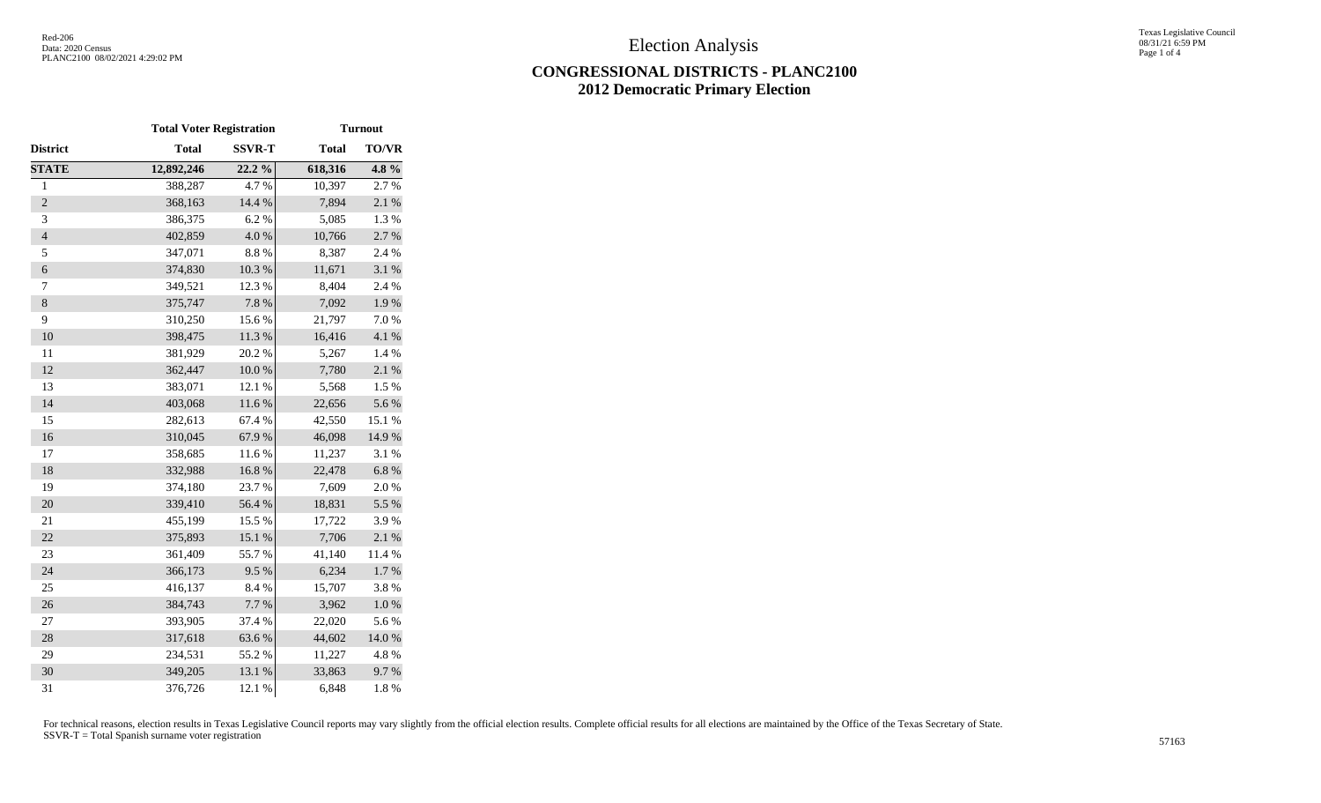## **CONGRESSIONAL DISTRICTS - PLANC2100 2012 Democratic Primary Election**

|                | <b>Total Voter Registration</b> |               | <b>Turnout</b> |           |  |  |  |  |
|----------------|---------------------------------|---------------|----------------|-----------|--|--|--|--|
| District       | <b>Total</b>                    | <b>SSVR-T</b> | <b>Total</b>   | TO/VR     |  |  |  |  |
| <b>STATE</b>   | 12,892,246                      | 22.2%         | 618,316        | 4.8%      |  |  |  |  |
| $\mathbf{1}$   | 388,287                         | 4.7%          | 10,397         | 2.7%      |  |  |  |  |
| $\overline{2}$ | 368,163                         | 14.4 %        | 7,894          | 2.1 %     |  |  |  |  |
| 3              | 386,375                         | 6.2%          | 5,085          | 1.3 %     |  |  |  |  |
| $\overline{4}$ | 402,859                         | 4.0%          | 10,766         | 2.7 %     |  |  |  |  |
| 5              | 347,071                         | 8.8 %         | 8,387          | 2.4 %     |  |  |  |  |
| $\epsilon$     | 374,830                         | 10.3 %        | 11,671         | 3.1 %     |  |  |  |  |
| $\tau$         | 349,521                         | 12.3 %        | 8,404          | 2.4 %     |  |  |  |  |
| $\,8\,$        | 375,747                         | 7.8%          | 7,092          | 1.9%      |  |  |  |  |
| 9              | 310,250                         | 15.6%         | 21,797         | 7.0%      |  |  |  |  |
| 10             | 398,475                         | 11.3%         | 16,416         | 4.1 %     |  |  |  |  |
| 11             | 381,929                         | 20.2 %        | 5,267          | 1.4 %     |  |  |  |  |
| 12             | 362,447                         | $10.0~\%$     | 7,780          | 2.1%      |  |  |  |  |
| 13             | 383,071                         | 12.1 %        | 5,568          | 1.5 %     |  |  |  |  |
| 14             | 403,068                         | 11.6 %        | 22,656         | 5.6%      |  |  |  |  |
| 15             | 282,613                         | 67.4 %        | 42,550         | 15.1 %    |  |  |  |  |
| 16             | 310,045                         | 67.9%         | 46,098         | 14.9%     |  |  |  |  |
| 17             | 358,685                         | 11.6%         | 11,237         | 3.1 %     |  |  |  |  |
| 18             | 332,988                         | 16.8 %        | 22,478         | 6.8%      |  |  |  |  |
| 19             | 374,180                         | 23.7%         | 7,609          | 2.0%      |  |  |  |  |
| 20             | 339,410                         | 56.4 %        | 18,831         | 5.5 %     |  |  |  |  |
| 21             | 455,199                         | 15.5 %        | 17,722         | 3.9%      |  |  |  |  |
| 22             | 375,893                         | 15.1 %        | 7,706          | 2.1 %     |  |  |  |  |
| 23             | 361,409                         | 55.7%         | 41,140         | 11.4 %    |  |  |  |  |
| 24             | 366,173                         | 9.5%          | 6,234          | $1.7~\%$  |  |  |  |  |
| 25             | 416,137                         | 8.4 %         | 15,707         | 3.8%      |  |  |  |  |
| 26             | 384,743                         | 7.7 %         | 3,962          | $1.0\ \%$ |  |  |  |  |
| 27             | 393,905                         | 37.4 %        | 22,020         | 5.6%      |  |  |  |  |
| 28             | 317,618                         | 63.6%         | 44,602         | 14.0 %    |  |  |  |  |
| 29             | 234,531                         | 55.2 %        | 11,227         | 4.8%      |  |  |  |  |
| 30             | 349,205                         | 13.1 %        | 33,863         | 9.7%      |  |  |  |  |
| 31             | 376,726                         | 12.1 %        | 6,848          | 1.8%      |  |  |  |  |

For technical reasons, election results in Texas Legislative Council reports may vary slightly from the official election results. Complete official results for all elections are maintained by the Office of the Texas Secre SSVR-T = Total Spanish surname voter registration <sup>57163</sup>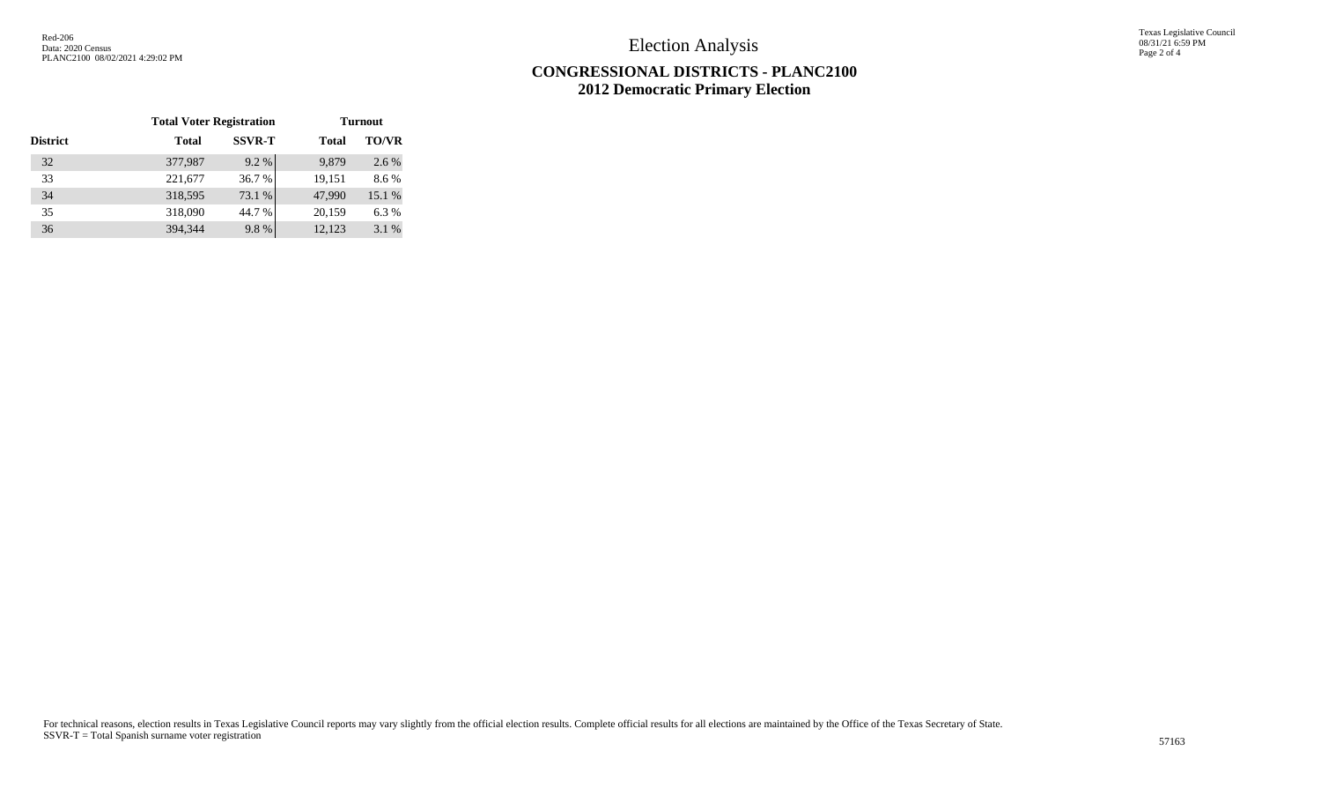Election Analysis

Texas Legislative Council 08/31/21 6:59 PM Page 2 of 4

## **CONGRESSIONAL DISTRICTS - PLANC2100 2012 Democratic Primary Election**

|                 | <b>Total Voter Registration</b> |               | <b>Turnout</b> |              |  |  |  |  |
|-----------------|---------------------------------|---------------|----------------|--------------|--|--|--|--|
| <b>District</b> | <b>Total</b>                    | <b>SSVR-T</b> | <b>Total</b>   | <b>TO/VR</b> |  |  |  |  |
| 32              | 377,987                         | 9.2 %         | 9,879          | 2.6 %        |  |  |  |  |
| 33              | 221,677                         | 36.7 %        | 19,151         | 8.6%         |  |  |  |  |
| 34              | 318,595                         | 73.1 %        | 47,990         | 15.1 %       |  |  |  |  |
| 35              | 318,090                         | 44.7 %        | 20,159         | 6.3%         |  |  |  |  |
| 36              | 394,344                         | 9.8%          | 12,123         | 3.1%         |  |  |  |  |

For technical reasons, election results in Texas Legislative Council reports may vary slightly from the official election results. Complete official results for all elections are maintained by the Office of the Texas Secre SSVR-T = Total Spanish surname voter registration <sup>57163</sup>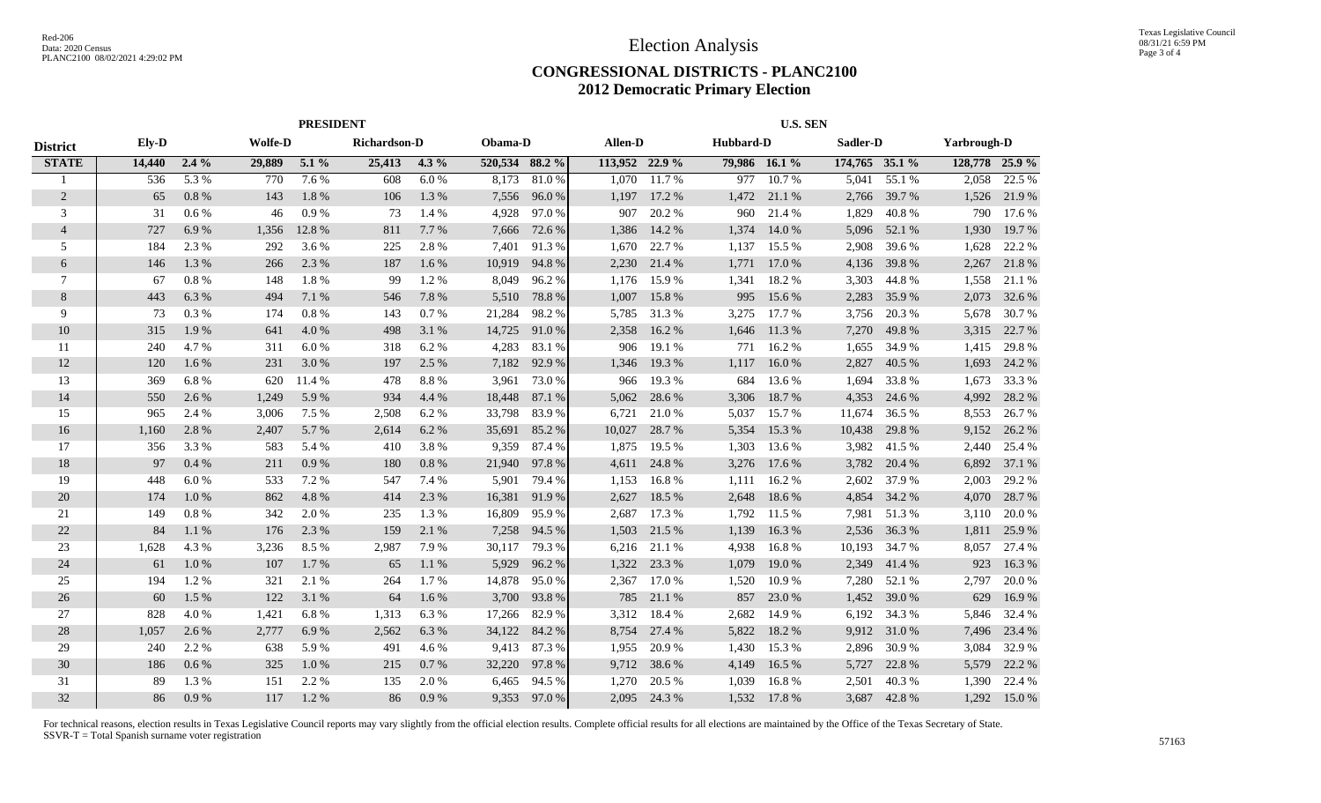## **CONGRESSIONAL DISTRICTS - PLANC2100 2012 Democratic Primary Election**

|                 | <b>PRESIDENT</b> |                |        |              |        |         |                | <b>U.S. SEN</b> |                |              |       |               |                |              |                |        |
|-----------------|------------------|----------------|--------|--------------|--------|---------|----------------|-----------------|----------------|--------------|-------|---------------|----------------|--------------|----------------|--------|
| <b>District</b> | Ely-D            | <b>Wolfe-D</b> |        | Richardson-D |        | Obama-D | Allen-D        |                 |                | Hubbard-D    |       |               | Sadler-D       |              | Yarbrough-D    |        |
| <b>STATE</b>    | 14,440           | $2.4\%$        | 29,889 | $5.1\%$      | 25,413 | $4.3\%$ | 520,534 88.2 % |                 | 113,952 22.9 % |              |       | 79,986 16.1 % | 174,765 35.1 % |              | 128,778 25.9 % |        |
| -1              | 536              | 5.3 %          | 770    | 7.6 %        | 608    | 6.0%    | 8,173          | 81.0%           | 1,070          | 11.7%        | 977   | 10.7%         | 5,041          | 55.1 %       | 2,058          | 22.5 % |
| $\overline{2}$  | 65               | 0.8%           | 143    | 1.8%         | 106    | 1.3 %   | 7,556          | 96.0%           | 1,197          | 17.2 %       | 1,472 | 21.1 %        | 2,766          | 39.7 %       | 1,526          | 21.9%  |
| 3               | 31               | 0.6%           | 46     | 0.9%         | 73     | 1.4 %   | 4,928          | 97.0%           | 907            | 20.2 %       | 960   | 21.4 %        | 1,829          | 40.8%        | 790            | 17.6 % |
| $\overline{4}$  | 727              | 6.9%           | 1,356  | 12.8%        | 811    | 7.7 %   | 7,666          | 72.6 %          | 1,386          | 14.2 %       | 1,374 | 14.0 %        | 5,096          | 52.1 %       | 1,930          | 19.7%  |
| 5               | 184              | 2.3 %          | 292    | 3.6 %        | 225    | 2.8%    | 7,401          | 91.3%           | 1,670          | 22.7 %       | 1,137 | 15.5 %        | 2,908          | 39.6 %       | 1,628          | 22.2 % |
| 6               | 146              | 1.3%           | 266    | 2.3 %        | 187    | $1.6\%$ | 10,919         | 94.8%           | 2,230          | 21.4 %       | 1,771 | 17.0 %        | 4,136          | 39.8%        | 2,267          | 21.8%  |
| 7               | 67               | 0.8%           | 148    | 1.8%         | -99    | 1.2%    | 8,049          | 96.2%           | 1,176          | 15.9%        | 1,341 | 18.2%         | 3,303          | 44.8%        | 1,558          | 21.1 % |
| $\,8\,$         | 443              | 6.3%           | 494    | 7.1 %        | 546    | 7.8%    | 5,510          | 78.8%           | 1,007          | 15.8%        | 995   | 15.6 %        | 2,283          | 35.9%        | 2,073          | 32.6 % |
| 9               | 73               | 0.3%           | 174    | 0.8%         | 143    | 0.7%    | 21,284         | 98.2%           | 5,785          | 31.3%        | 3,275 | 17.7 %        | 3,756          | 20.3 %       | 5,678          | 30.7%  |
| 10              | 315              | 1.9%           | 641    | 4.0%         | 498    | 3.1 %   | 14,725         | 91.0%           | 2,358          | 16.2%        | 1,646 | 11.3%         | 7,270          | 49.8%        | 3,315          | 22.7 % |
| 11              | 240              | 4.7 %          | 311    | 6.0%         | 318    | 6.2%    | 4,283          | 83.1 %          | 906            | 19.1 %       | 771   | 16.2%         | 1,655          | 34.9%        | 1,415          | 29.8%  |
| 12              | 120              | 1.6 %          | 231    | 3.0%         | 197    | 2.5 %   | 7,182          | 92.9 %          | 1,346          | 19.3 %       | 1,117 | 16.0%         | 2,827          | 40.5 %       | 1,693          | 24.2 % |
| 13              | 369              | 6.8%           | 620    | 11.4 %       | 478    | 8.8%    | 3,961          | 73.0%           | 966            | 19.3 %       | 684   | 13.6 %        | 1,694          | 33.8%        | 1,673          | 33.3 % |
| 14              | 550              | 2.6 %          | 1,249  | 5.9%         | 934    | 4.4 %   | 18,448         | 87.1 %          | 5,062          | 28.6 %       | 3,306 | 18.7%         | 4,353          | 24.6 %       | 4,992          | 28.2 % |
| 15              | 965              | 2.4 %          | 3,006  | 7.5 %        | 2,508  | 6.2 %   | 33,798         | 83.9%           | 6,721          | 21.0%        | 5,037 | 15.7 %        | 11,674         | 36.5 %       | 8,553          | 26.7 % |
| 16              | 1,160            | 2.8%           | 2,407  | 5.7 %        | 2,614  | $6.2\%$ | 35,691         | 85.2%           | 10,027         | 28.7 %       | 5,354 | 15.3 %        | 10,438         | 29.8%        | 9,152          | 26.2 % |
| 17              | 356              | 3.3 %          | 583    | 5.4 %        | 410    | 3.8%    | 9,359          | 87.4 %          | 1,875          | 19.5 %       | 1,303 | 13.6 %        | 3,982          | 41.5 %       | 2,440          | 25.4 % |
| 18              | 97               | 0.4%           | 211    | 0.9%         | 180    | 0.8 %   | 21,940         | 97.8%           | 4,611          | 24.8%        | 3,276 | 17.6 %        | 3,782          | 20.4 %       | 6,892          | 37.1 % |
| 19              | 448              | 6.0%           | 533    | 7.2 %        | 547    | 7.4 %   | 5,901          | 79.4 %          | 1,153          | 16.8%        | 1,111 | 16.2 %        | 2,602          | 37.9 %       | 2,003          | 29.2 % |
| 20              | 174              | 1.0%           | 862    | 4.8%         | 414    | 2.3 %   | 16,381         | 91.9%           | 2,627          | 18.5 %       | 2,648 | 18.6 %        | 4,854          | 34.2 %       | 4,070          | 28.7 % |
| 21              | 149              | 0.8%           | 342    | 2.0%         | 235    | 1.3%    | 16,809         | 95.9%           | 2,687          | 17.3 %       | 1,792 | 11.5 %        | 7,981          | 51.3%        | 3,110          | 20.0%  |
| 22              | 84               | 1.1 %          | 176    | 2.3 %        | 159    | 2.1 %   | 7,258          | 94.5 %          | 1,503          | 21.5 %       | 1,139 | 16.3 %        | 2,536          | 36.3 %       | 1,811          | 25.9%  |
| 23              | 1,628            | 4.3 %          | 3,236  | 8.5 %        | 2,987  | 7.9%    | 30,117         | 79.3 %          | 6,216          | 21.1 %       | 4,938 | 16.8%         | 10,193         | 34.7 %       | 8,057          | 27.4 % |
| 24              | 61               | 1.0%           | 107    | 1.7%         | 65     | 1.1%    | 5,929          | 96.2%           | 1,322          | 23.3 %       | 1,079 | 19.0%         | 2,349          | 41.4%        | 923            | 16.3%  |
| 25              | 194              | 1.2%           | 321    | 2.1 %        | 264    | 1.7%    | 14,878         | 95.0%           | 2,367          | 17.0 %       | 1,520 | 10.9%         | 7,280          | 52.1 %       | 2,797          | 20.0%  |
| 26              | 60               | 1.5 %          | 122    | 3.1 %        | 64     | 1.6 %   | 3,700          | 93.8%           | 785            | 21.1 %       | 857   | 23.0 %        | 1,452          | 39.0%        | 629            | 16.9%  |
| 27              | 828              | 4.0 %          | 1,421  | 6.8%         | 1,313  | 6.3%    | 17,266         | 82.9 %          | 3,312          | 18.4 %       | 2,682 | 14.9 %        | 6,192          | 34.3 %       | 5,846          | 32.4 % |
| 28              | 1,057            | 2.6 %          | 2,777  | 6.9%         | 2,562  | 6.3%    | 34,122         | 84.2 %          | 8,754          | 27.4 %       | 5,822 | 18.2 %        | 9,912          | 31.0%        | 7,496          | 23.4 % |
| 29              | 240              | 2.2 %          | 638    | 5.9%         | 491    | 4.6 %   | 9,413          | 87.3 %          | 1,955          | 20.9%        | 1,430 | 15.3 %        | 2,896          | 30.9%        | 3,084          | 32.9 % |
| 30              | 186              | 0.6%           | 325    | 1.0%         | 215    | 0.7%    | 32,220         | 97.8%           | 9,712          | 38.6 %       | 4,149 | 16.5 %        | 5,727          | 22.8%        | 5,579          | 22.2 % |
| 31              | 89               | 1.3%           | 151    | 2.2 %        | 135    | 2.0 %   | 6,465          | 94.5 %          | 1,270          | 20.5 %       | 1,039 | 16.8%         | 2,501          | 40.3%        | 1,390          | 22.4 % |
| 32              | 86               | 0.9%           | 117    | 1.2%         | 86     | 0.9%    | 9,353          | 97.0 %          |                | 2,095 24.3 % | 1,532 | 17.8 %        |                | 3,687 42.8 % | 1,292          | 15.0%  |

For technical reasons, election results in Texas Legislative Council reports may vary slightly from the official election results. Complete official results for all elections are maintained by the Office of the Texas Secre SSVR-T = Total Spanish surname voter registration <sup>57163</sup>